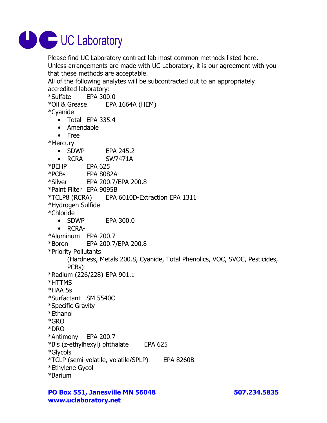

Please find UC Laboratory contract lab most common methods listed here. Unless arrangements are made with UC Laboratory, it is our agreement with you that these methods are acceptable.

All of the following analytes will be subcontracted out to an appropriately accredited laboratory:

\*Sulfate EPA 300.0

\*Oil & Grease EPA 1664A (HEM)

\*Cyanide

- Total EPA 335.4
- Amendable
- Free

\*Mercury

• SDWP EPA 245.2

• RCRA SW7471A

\*BEHP EPA 625

\*PCBs EPA 8082A

\*Silver EPA 200.7/EPA 200.8

\*Paint Filter EPA 9095B

\*TCLP8 (RCRA) EPA 6010D-Extraction EPA 1311

\*Hydrogen Sulfide

\*Chloride

- SDWP EPA 300.0
- RCRA-

\*Aluminum EPA 200.7

\*Boron EPA 200.7/EPA 200.8

\*Priority Pollutants

(Hardness, Metals 200.8, Cyanide, Total Phenolics, VOC, SVOC, Pesticides,

PCBs)

\*Radium (226/228) EPA 901.1

- \*HTTMS
- \*HAA 5s

\*Surfactant SM 5540C

- \*Specific Gravity
- \*Ethanol

\*GRO

\*DRO

\*Antimony EPA 200.7

\*Bis (z-ethylhexyl) phthalate EPA 625

- \*Glycols
- \*TCLP (semi-volatile, volatile/SPLP) EPA 8260B
- \*Ethylene Gycol
- \*Barium

**PO Box 551, Janesville MN 56048 507.234.5835 www.uclaboratory.net**